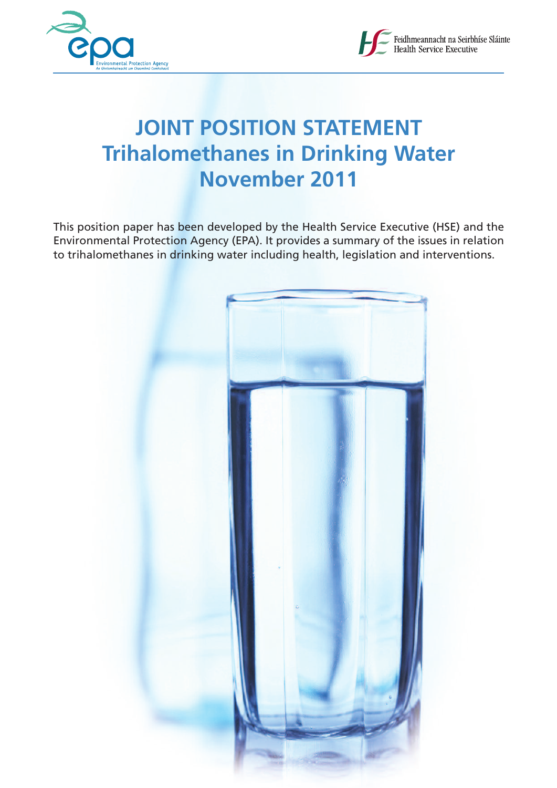



# **JOINT POSITION STATEMENT Trihalomethanes in Drinking Water November 2011**

This position paper has been developed by the Health Service Executive (HSE) and the Environmental Protection Agency (EPA). It provides a summary of the issues in relation to trihalomethanes in drinking water including health, legislation and interventions.

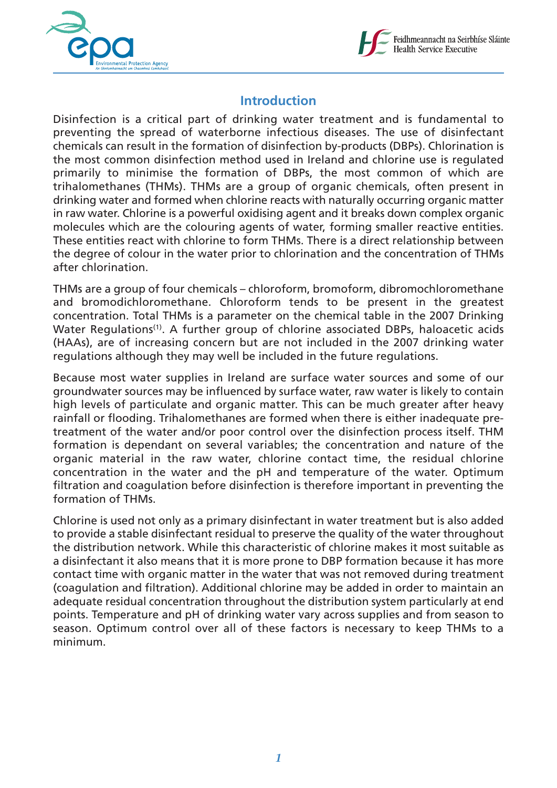



## **Introduction**

Disinfection is a critical part of drinking water treatment and is fundamental to preventing the spread of waterborne infectious diseases. The use of disinfectant chemicals can result in the formation of disinfection by-products (DBPs). Chlorination is the most common disinfection method used in Ireland and chlorine use is regulated primarily to minimise the formation of DBPs, the most common of which are trihalomethanes (THMs). THMs are a group of organic chemicals, often present in drinking water and formed when chlorine reacts with naturally occurring organic matter in raw water. Chlorine is a powerful oxidising agent and it breaks down complex organic molecules which are the colouring agents of water, forming smaller reactive entities. These entities react with chlorine to form THMs. There is a direct relationship between the degree of colour in the water prior to chlorination and the concentration of THMs after chlorination.

THMs are a group of four chemicals – chloroform, bromoform, dibromochloromethane and bromodichloromethane. Chloroform tends to be present in the greatest concentration. Total THMs is a parameter on the chemical table in the 2007 Drinking Water Regulations<sup>(1)</sup>. A further group of chlorine associated DBPs, haloacetic acids (HAAs), are of increasing concern but are not included in the 2007 drinking water regulations although they may well be included in the future regulations.

Because most water supplies in Ireland are surface water sources and some of our groundwater sources may be influenced by surface water, raw water is likely to contain high levels of particulate and organic matter. This can be much greater after heavy rainfall or flooding. Trihalomethanes are formed when there is either inadequate pretreatment of the water and/or poor control over the disinfection process itself. THM formation is dependant on several variables; the concentration and nature of the organic material in the raw water, chlorine contact time, the residual chlorine concentration in the water and the pH and temperature of the water. Optimum filtration and coagulation before disinfection is therefore important in preventing the formation of THMs.

Chlorine is used not only as a primary disinfectant in water treatment but is also added to provide a stable disinfectant residual to preserve the quality of the water throughout the distribution network. While this characteristic of chlorine makes it most suitable as a disinfectant it also means that it is more prone to DBP formation because it has more contact time with organic matter in the water that was not removed during treatment (coagulation and filtration). Additional chlorine may be added in order to maintain an adequate residual concentration throughout the distribution system particularly at end points. Temperature and pH of drinking water vary across supplies and from season to season. Optimum control over all of these factors is necessary to keep THMs to a minimum.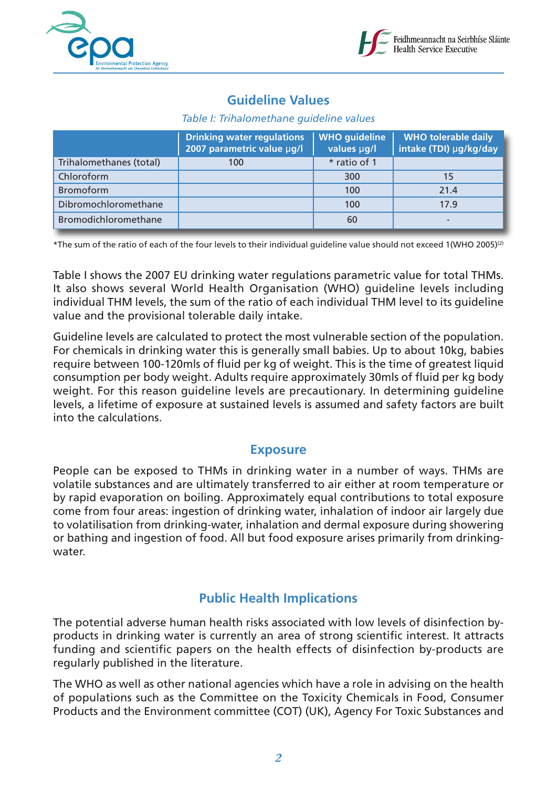



# **Guideline Values**

|  |  |  | Table I: Trihalomethane guideline values |  |
|--|--|--|------------------------------------------|--|
|--|--|--|------------------------------------------|--|

|                         | <b>Drinking water regulations</b><br>2007 parametric value µg/l | <b>WHO guideline</b><br>values µg/l | <b>WHO tolerable daily</b><br>intake (TDI) µg/kg/day |
|-------------------------|-----------------------------------------------------------------|-------------------------------------|------------------------------------------------------|
| Trihalomethanes (total) | 100                                                             | * ratio of 1                        |                                                      |
| Chloroform              |                                                                 | 300                                 | 15                                                   |
| <b>Bromoform</b>        |                                                                 | 100                                 | 21.4                                                 |
| Dibromochloromethane    |                                                                 | 100                                 | 17.9                                                 |
| Bromodichloromethane    |                                                                 | 60                                  |                                                      |

\*The sum of the ratio of each of the four levels to their individual guideline value should not exceed 1(WHO 2005)<sup>(2)</sup>

Table I shows the 2007 EU drinking water regulations parametric value for total THMs. It also shows several World Health Organisation (WHO) guideline levels including individual THM levels, the sum of the ratio of each individual THM level to its guideline value and the provisional tolerable daily intake.

Guideline levels are calculated to protect the most vulnerable section of the population. For chemicals in drinking water this is generally small babies. Up to about 10kg, babies require between 100-120mls of fluid per kg of weight. This is the time of greatest liquid consumption per body weight. Adults require approximately 30mls of fluid per kg body weight. For this reason guideline levels are precautionary. In determining guideline levels, a lifetime of exposure at sustained levels is assumed and safety factors are built into the calculations.

#### **Exposure**

People can be exposed to THMs in drinking water in a number of ways. THMs are volatile substances and are ultimately transferred to air either at room temperature or by rapid evaporation on boiling. Approximately equal contributions to total exposure come from four areas: ingestion of drinking water, inhalation of indoor air largely due to volatilisation from drinking-water, inhalation and dermal exposure during showering or bathing and ingestion of food. All but food exposure arises primarily from drinkingwater.

# **Public Health Implications**

The potential adverse human health risks associated with low levels of disinfection byproducts in drinking water is currently an area of strong scientific interest. It attracts funding and scientific papers on the health effects of disinfection by-products are regularly published in the literature.

The WHO as well as other national agencies which have a role in advising on the health of populations such as the Committee on the Toxicity Chemicals in Food, Consumer Products and the Environment committee (COT) (UK), Agency For Toxic Substances and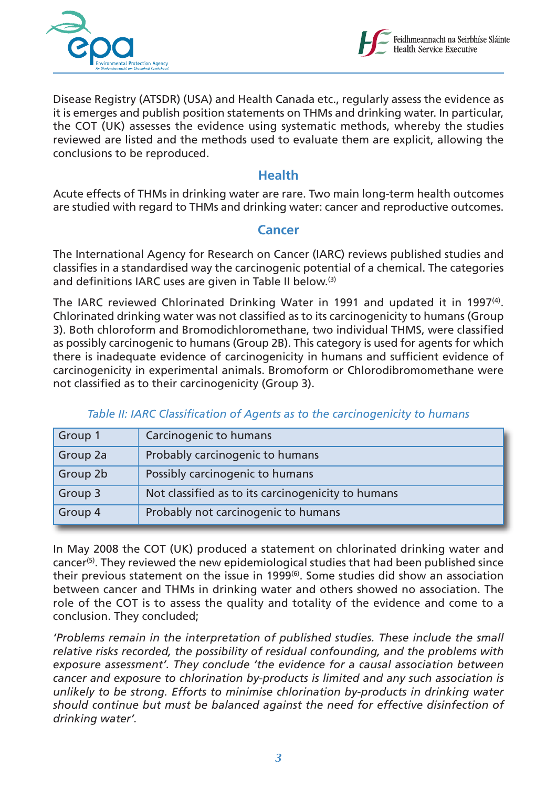



Disease Registry (ATSDR) (USA) and Health Canada etc., regularly assess the evidence as it is emerges and publish position statements on THMs and drinking water. In particular, the COT (UK) assesses the evidence using systematic methods, whereby the studies reviewed are listed and the methods used to evaluate them are explicit, allowing the conclusions to be reproduced.

## **Health**

Acute effects of THMs in drinking water are rare. Two main long-term health outcomes are studied with regard to THMs and drinking water: cancer and reproductive outcomes.

## **Cancer**

The International Agency for Research on Cancer (IARC) reviews published studies and classifies in a standardised way the carcinogenic potential of a chemical. The categories and definitions IARC uses are given in Table II below.<sup>(3)</sup>

The IARC reviewed Chlorinated Drinking Water in 1991 and updated it in 1997 $^{\text{\tiny{(4)}}}.$ Chlorinated drinking water was not classified as to its carcinogenicity to humans (Group 3). Both chloroform and Bromodichloromethane, two individual THMS, were classified as possibly carcinogenic to humans (Group 2B). This category is used for agents for which there is inadequate evidence of carcinogenicity in humans and sufficient evidence of carcinogenicity in experimental animals. Bromoform or Chlorodibromomethane were not classified as to their carcinogenicity (Group 3).

*Table II: IARC Classification of Agents as to the carcinogenicity to humans*

| Group 1  | Carcinogenic to humans                             |
|----------|----------------------------------------------------|
| Group 2a | Probably carcinogenic to humans                    |
| Group 2b | Possibly carcinogenic to humans                    |
| Group 3  | Not classified as to its carcinogenicity to humans |
| Group 4  | Probably not carcinogenic to humans                |

In May 2008 the COT (UK) produced a statement on chlorinated drinking water and cancer<sup>(5)</sup>. They reviewed the new epidemiological studies that had been published since their previous statement on the issue in 1999<sup>(6)</sup>. Some studies did show an association between cancer and THMs in drinking water and others showed no association. The role of the COT is to assess the quality and totality of the evidence and come to a conclusion. They concluded;

*'Problems remain in the interpretation of published studies. These include the small relative risks recorded, the possibility of residual confounding, and the problems with exposure assessment'. They conclude 'the evidence for a causal association between cancer and exposure to chlorination by-products is limited and any such association is unlikely to be strong. Efforts to minimise chlorination by-products in drinking water should continue but must be balanced against the need for effective disinfection of drinking water'.*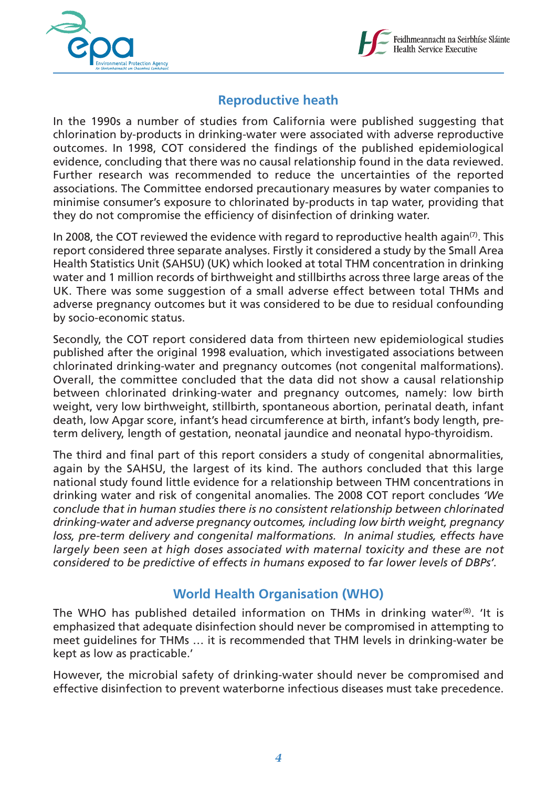



# **Reproductive heath**

In the 1990s a number of studies from California were published suggesting that chlorination by-products in drinking-water were associated with adverse reproductive outcomes. In 1998, COT considered the findings of the published epidemiological evidence, concluding that there was no causal relationship found in the data reviewed. Further research was recommended to reduce the uncertainties of the reported associations. The Committee endorsed precautionary measures by water companies to minimise consumer's exposure to chlorinated by-products in tap water, providing that they do not compromise the efficiency of disinfection of drinking water.

In 2008, the COT reviewed the evidence with regard to reproductive health again $^{(7)}$ . This report considered three separate analyses. Firstly it considered a study by the Small Area Health Statistics Unit (SAHSU) (UK) which looked at total THM concentration in drinking water and 1 million records of birthweight and stillbirths across three large areas of the UK. There was some suggestion of a small adverse effect between total THMs and adverse pregnancy outcomes but it was considered to be due to residual confounding by socio-economic status.

Secondly, the COT report considered data from thirteen new epidemiological studies published after the original 1998 evaluation, which investigated associations between chlorinated drinking-water and pregnancy outcomes (not congenital malformations). Overall, the committee concluded that the data did not show a causal relationship between chlorinated drinking-water and pregnancy outcomes, namely: low birth weight, very low birthweight, stillbirth, spontaneous abortion, perinatal death, infant death, low Apgar score, infant's head circumference at birth, infant's body length, preterm delivery, length of gestation, neonatal jaundice and neonatal hypo-thyroidism.

The third and final part of this report considers a study of congenital abnormalities, again by the SAHSU, the largest of its kind. The authors concluded that this large national study found little evidence for a relationship between THM concentrations in drinking water and risk of congenital anomalies. The 2008 COT report concludes *'We conclude that in human studies there is no consistent relationship between chlorinated drinking-water and adverse pregnancy outcomes, including low birth weight, pregnancy loss, pre-term delivery and congenital malformations. In animal studies, effects have largely been seen at high doses associated with maternal toxicity and these are not considered to be predictive of effects in humans exposed to far lower levels of DBPs'.*

# **World Health Organisation (WHO)**

The WHO has published detailed information on THMs in drinking water®. 'It is emphasized that adequate disinfection should never be compromised in attempting to meet guidelines for THMs … it is recommended that THM levels in drinking-water be kept as low as practicable.'

However, the microbial safety of drinking-water should never be compromised and effective disinfection to prevent waterborne infectious diseases must take precedence.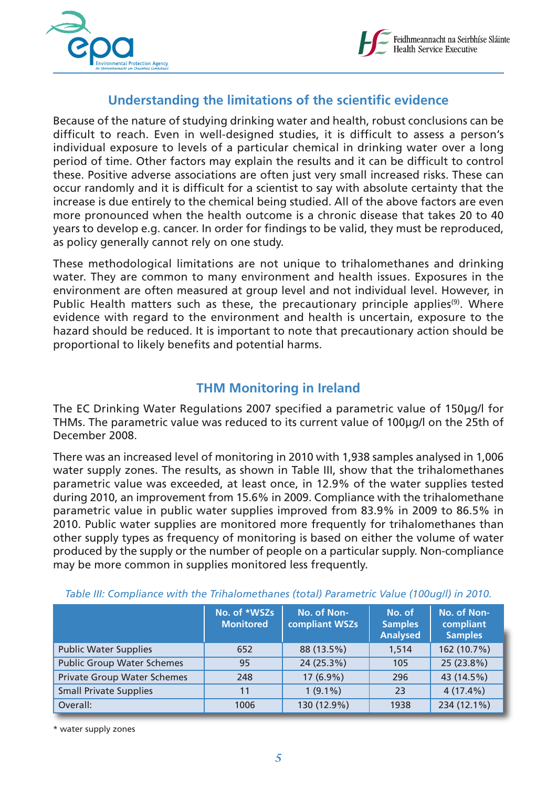



# **Understanding the limitations of the scientific evidence**

Because of the nature of studying drinking water and health, robust conclusions can be difficult to reach. Even in well-designed studies, it is difficult to assess a person's individual exposure to levels of a particular chemical in drinking water over a long period of time. Other factors may explain the results and it can be difficult to control these. Positive adverse associations are often just very small increased risks. These can occur randomly and it is difficult for a scientist to say with absolute certainty that the increase is due entirely to the chemical being studied. All of the above factors are even more pronounced when the health outcome is a chronic disease that takes 20 to 40 years to develop e.g. cancer. In order for findings to be valid, they must be reproduced, as policy generally cannot rely on one study.

These methodological limitations are not unique to trihalomethanes and drinking water. They are common to many environment and health issues. Exposures in the environment are often measured at group level and not individual level. However, in Public Health matters such as these, the precautionary principle applies<sup>(9)</sup>. Where evidence with regard to the environment and health is uncertain, exposure to the hazard should be reduced. It is important to note that precautionary action should be proportional to likely benefits and potential harms.

# **THM Monitoring in Ireland**

The EC Drinking Water Regulations 2007 specified a parametric value of 150µg/l for THMs. The parametric value was reduced to its current value of 100µg/l on the 25th of December 2008.

There was an increased level of monitoring in 2010 with 1,938 samples analysed in 1,006 water supply zones. The results, as shown in Table III, show that the trihalomethanes parametric value was exceeded, at least once, in 12.9% of the water supplies tested during 2010, an improvement from 15.6% in 2009. Compliance with the trihalomethane parametric value in public water supplies improved from 83.9% in 2009 to 86.5% in 2010. Public water supplies are monitored more frequently for trihalomethanes than other supply types as frequency of monitoring is based on either the volume of water produced by the supply or the number of people on a particular supply. Non-compliance may be more common in supplies monitored less frequently.

|                                    | No. of *WSZs<br><b>Monitored</b> | No. of Non-<br>compliant WSZs | No. of<br><b>Samples</b><br><b>Analysed</b> | No. of Non-<br>compliant<br><b>Samples</b> |
|------------------------------------|----------------------------------|-------------------------------|---------------------------------------------|--------------------------------------------|
| <b>Public Water Supplies</b>       | 652                              | 88 (13.5%)                    | 1,514                                       | 162 (10.7%)                                |
| <b>Public Group Water Schemes</b>  | 95                               | 24 (25.3%)                    | 105                                         | 25 (23.8%)                                 |
| <b>Private Group Water Schemes</b> | 248                              | 17 (6.9%)                     | 296                                         | 43 (14.5%)                                 |
| <b>Small Private Supplies</b>      | 11                               | $1(9.1\%)$                    | 23                                          | $4(17.4\%)$                                |
| Overall:                           | 1006                             | 130 (12.9%)                   | 1938                                        | 234 (12.1%)                                |

*Table III: Compliance with the Trihalomethanes (total) Parametric Value (100ug/l) in 2010.*

\* water supply zones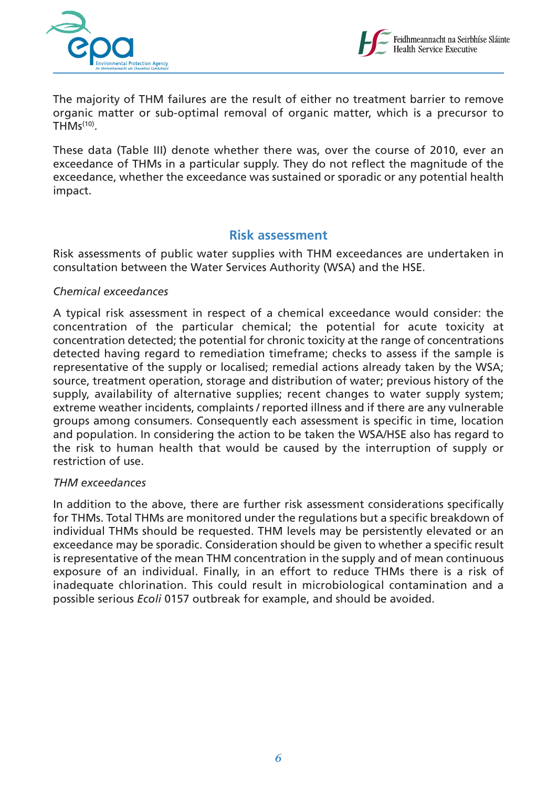



The majority of THM failures are the result of either no treatment barrier to remove organic matter or sub-optimal removal of organic matter, which is a precursor to  $THMs<sup>(10)</sup>$ .

These data (Table III) denote whether there was, over the course of 2010, ever an exceedance of THMs in a particular supply. They do not reflect the magnitude of the exceedance, whether the exceedance was sustained or sporadic or any potential health impact.

### **Risk assessment**

Risk assessments of public water supplies with THM exceedances are undertaken in consultation between the Water Services Authority (WSA) and the HSE.

#### *Chemical exceedances*

A typical risk assessment in respect of a chemical exceedance would consider: the concentration of the particular chemical; the potential for acute toxicity at concentration detected; the potential for chronic toxicity at the range of concentrations detected having regard to remediation timeframe; checks to assess if the sample is representative of the supply or localised; remedial actions already taken by the WSA; source, treatment operation, storage and distribution of water; previous history of the supply, availability of alternative supplies; recent changes to water supply system; extreme weather incidents, complaints / reported illness and if there are any vulnerable groups among consumers. Consequently each assessment is specific in time, location and population. In considering the action to be taken the WSA/HSE also has regard to the risk to human health that would be caused by the interruption of supply or restriction of use.

#### *THM exceedances*

In addition to the above, there are further risk assessment considerations specifically for THMs. Total THMs are monitored under the regulations but a specific breakdown of individual THMs should be requested. THM levels may be persistently elevated or an exceedance may be sporadic. Consideration should be given to whether a specific result is representative of the mean THM concentration in the supply and of mean continuous exposure of an individual. Finally, in an effort to reduce THMs there is a risk of inadequate chlorination. This could result in microbiological contamination and a possible serious *Ecoli* 0157 outbreak for example, and should be avoided.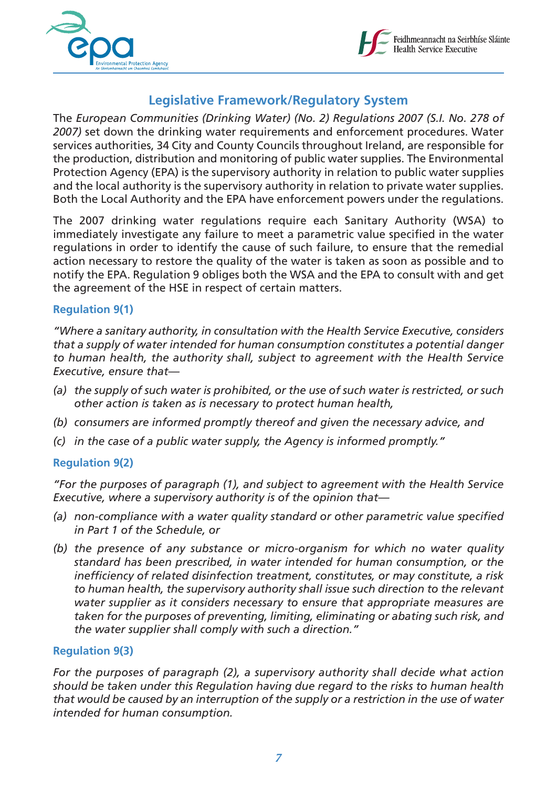



# **Legislative Framework/Regulatory System**

The *European Communities (Drinking Water) (No. 2) Regulations 2007 (S.I. No. 278 of 2007)* set down the drinking water requirements and enforcement procedures. Water services authorities, 34 City and County Councils throughout Ireland, are responsible for the production, distribution and monitoring of public water supplies. The Environmental Protection Agency (EPA) is the supervisory authority in relation to public water supplies and the local authority is the supervisory authority in relation to private water supplies. Both the Local Authority and the EPA have enforcement powers under the regulations.

The 2007 drinking water regulations require each Sanitary Authority (WSA) to immediately investigate any failure to meet a parametric value specified in the water regulations in order to identify the cause of such failure, to ensure that the remedial action necessary to restore the quality of the water is taken as soon as possible and to notify the EPA. Regulation 9 obliges both the WSA and the EPA to consult with and get the agreement of the HSE in respect of certain matters.

#### **Regulation 9(1)**

*"Where a sanitary authority, in consultation with the Health Service Executive, considers that a supply of water intended for human consumption constitutes a potential danger to human health, the authority shall, subject to agreement with the Health Service Executive, ensure that—*

- *(a) the supply of such water is prohibited, or the use of such water is restricted, or such other action is taken as is necessary to protect human health,*
- *(b) consumers are informed promptly thereof and given the necessary advice, and*
- *(c) in the case of a public water supply, the Agency is informed promptly."*

#### **Regulation 9(2)**

*"For the purposes of paragraph (1), and subject to agreement with the Health Service Executive, where a supervisory authority is of the opinion that—*

- *(a) non-compliance with a water quality standard or other parametric value specified in Part 1 of the Schedule, or*
- *(b) the presence of any substance or micro-organism for which no water quality standard has been prescribed, in water intended for human consumption, or the inefficiency of related disinfection treatment, constitutes, or may constitute, a risk to human health, the supervisory authority shall issue such direction to the relevant water supplier as it considers necessary to ensure that appropriate measures are taken for the purposes of preventing, limiting, eliminating or abating such risk, and the water supplier shall comply with such a direction."*

#### **Regulation 9(3)**

*For the purposes of paragraph (2), a supervisory authority shall decide what action should be taken under this Regulation having due regard to the risks to human health that would be caused by an interruption of the supply or a restriction in the use of water intended for human consumption.*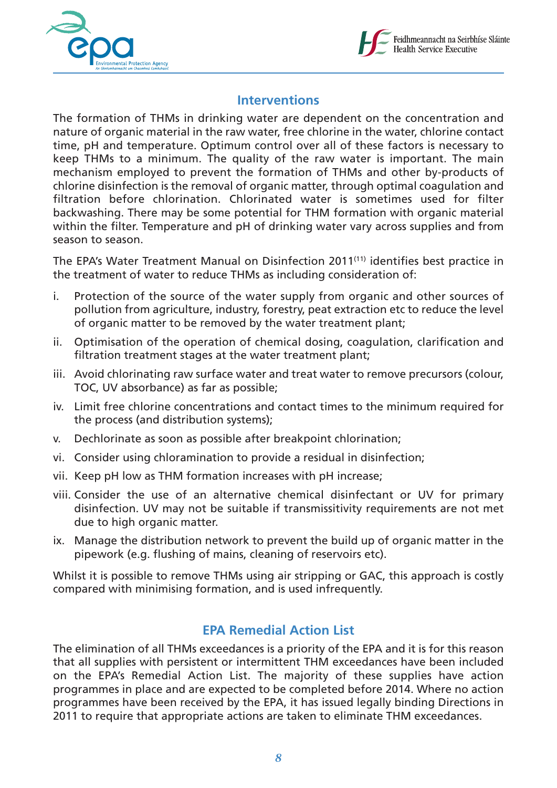



## **Interventions**

The formation of THMs in drinking water are dependent on the concentration and nature of organic material in the raw water, free chlorine in the water, chlorine contact time, pH and temperature. Optimum control over all of these factors is necessary to keep THMs to a minimum. The quality of the raw water is important. The main mechanism employed to prevent the formation of THMs and other by-products of chlorine disinfection is the removal of organic matter, through optimal coagulation and filtration before chlorination. Chlorinated water is sometimes used for filter backwashing. There may be some potential for THM formation with organic material within the filter. Temperature and pH of drinking water vary across supplies and from season to season.

The EPA's Water Treatment Manual on Disinfection 2011(11) identifies best practice in the treatment of water to reduce THMs as including consideration of:

- i. Protection of the source of the water supply from organic and other sources of pollution from agriculture, industry, forestry, peat extraction etc to reduce the level of organic matter to be removed by the water treatment plant;
- ii. Optimisation of the operation of chemical dosing, coagulation, clarification and filtration treatment stages at the water treatment plant;
- iii. Avoid chlorinating raw surface water and treat water to remove precursors (colour, TOC, UV absorbance) as far as possible;
- iv. Limit free chlorine concentrations and contact times to the minimum required for the process (and distribution systems);
- v. Dechlorinate as soon as possible after breakpoint chlorination;
- vi. Consider using chloramination to provide a residual in disinfection;
- vii. Keep pH low as THM formation increases with pH increase;
- viii. Consider the use of an alternative chemical disinfectant or UV for primary disinfection. UV may not be suitable if transmissitivity requirements are not met due to high organic matter.
- ix. Manage the distribution network to prevent the build up of organic matter in the pipework (e.g. flushing of mains, cleaning of reservoirs etc).

Whilst it is possible to remove THMs using air stripping or GAC, this approach is costly compared with minimising formation, and is used infrequently.

# **EPA Remedial Action List**

The elimination of all THMs exceedances is a priority of the EPA and it is for this reason that all supplies with persistent or intermittent THM exceedances have been included on the EPA's Remedial Action List. The majority of these supplies have action programmes in place and are expected to be completed before 2014. Where no action programmes have been received by the EPA, it has issued legally binding Directions in 2011 to require that appropriate actions are taken to eliminate THM exceedances.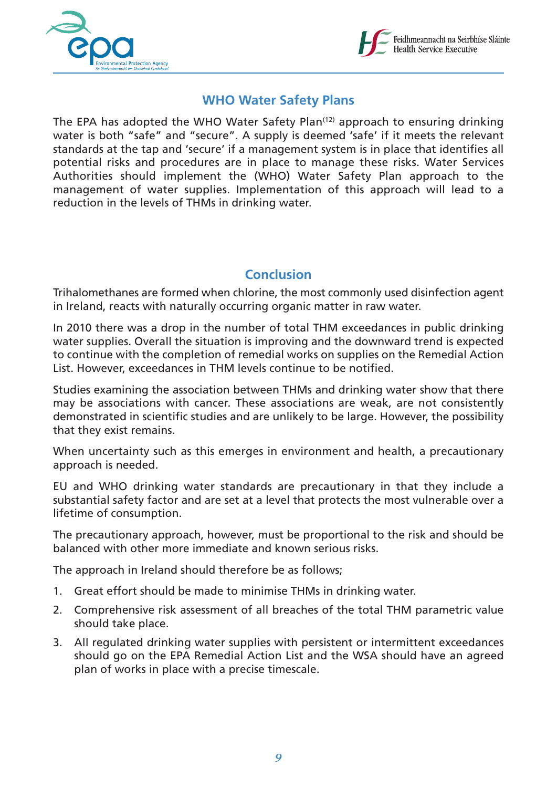



# **WHO Water Safety Plans**

The EPA has adopted the WHO Water Safety Plan<sup>(12)</sup> approach to ensuring drinking water is both "safe" and "secure". A supply is deemed 'safe' if it meets the relevant standards at the tap and 'secure' if a management system is in place that identifies all potential risks and procedures are in place to manage these risks. Water Services Authorities should implement the (WHO) Water Safety Plan approach to the management of water supplies. Implementation of this approach will lead to a reduction in the levels of THMs in drinking water.

# **Conclusion**

Trihalomethanes are formed when chlorine, the most commonly used disinfection agent in Ireland, reacts with naturally occurring organic matter in raw water.

In 2010 there was a drop in the number of total THM exceedances in public drinking water supplies. Overall the situation is improving and the downward trend is expected to continue with the completion of remedial works on supplies on the Remedial Action List. However, exceedances in THM levels continue to be notified.

Studies examining the association between THMs and drinking water show that there may be associations with cancer. These associations are weak, are not consistently demonstrated in scientific studies and are unlikely to be large. However, the possibility that they exist remains.

When uncertainty such as this emerges in environment and health, a precautionary approach is needed.

EU and WHO drinking water standards are precautionary in that they include a substantial safety factor and are set at a level that protects the most vulnerable over a lifetime of consumption.

The precautionary approach, however, must be proportional to the risk and should be balanced with other more immediate and known serious risks.

The approach in Ireland should therefore be as follows;

- 1. Great effort should be made to minimise THMs in drinking water.
- 2. Comprehensive risk assessment of all breaches of the total THM parametric value should take place.
- 3. All regulated drinking water supplies with persistent or intermittent exceedances should go on the EPA Remedial Action List and the WSA should have an agreed plan of works in place with a precise timescale.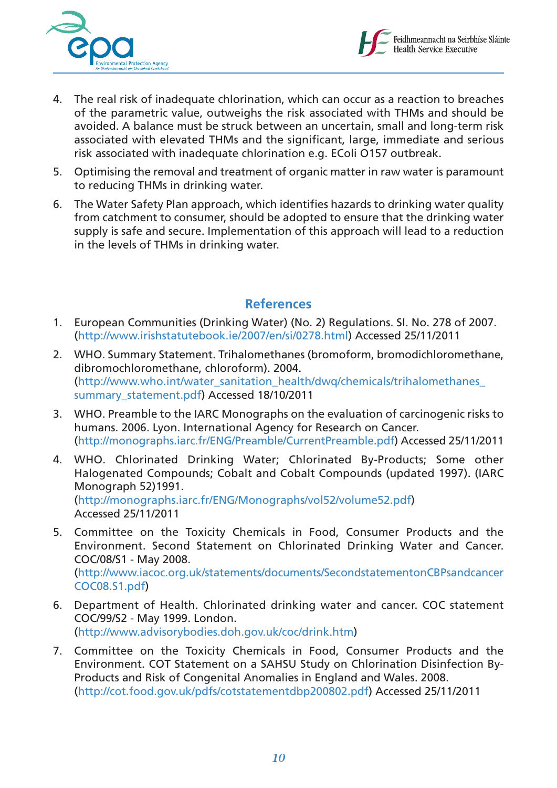



- 4. The real risk of inadequate chlorination, which can occur as a reaction to breaches of the parametric value, outweighs the risk associated with THMs and should be avoided. A balance must be struck between an uncertain, small and long-term risk associated with elevated THMs and the significant, large, immediate and serious risk associated with inadequate chlorination e.g. EColi O157 outbreak.
- 5. Optimising the removal and treatment of organic matter in raw water is paramount to reducing THMs in drinking water.
- 6. The Water Safety Plan approach, which identifies hazards to drinking water quality from catchment to consumer, should be adopted to ensure that the drinking water supply is safe and secure. Implementation of this approach will lead to a reduction in the levels of THMs in drinking water.

## **References**

- 1. European Communities (Drinking Water) (No. 2) Regulations. SI. No. 278 of 2007. (http://www.irishstatutebook.ie/2007/en/si/0278.html) Accessed 25/11/2011
- 2. WHO. Summary Statement. Trihalomethanes (bromoform, bromodichloromethane, dibromochloromethane, chloroform). 2004. (http://www.who.int/water\_sanitation\_health/dwq/chemicals/trihalomethanes\_ summary\_statement.pdf) Accessed 18/10/2011
- 3. WHO. Preamble to the IARC Monographs on the evaluation of carcinogenic risks to humans. 2006. Lyon. International Agency for Research on Cancer. (http://monographs.iarc.fr/ENG/Preamble/CurrentPreamble.pdf) Accessed 25/11/2011
- 4. WHO. Chlorinated Drinking Water; Chlorinated By-Products; Some other Halogenated Compounds; Cobalt and Cobalt Compounds (updated 1997). (IARC Monograph 52)1991. (http://monographs.iarc.fr/ENG/Monographs/vol52/volume52.pdf) Accessed 25/11/2011
- 5. Committee on the Toxicity Chemicals in Food, Consumer Products and the Environment. Second Statement on Chlorinated Drinking Water and Cancer. COC/08/S1 - May 2008. (http://www.iacoc.org.uk/statements/documents/SecondstatementonCBPsandcancer COC08.S1.pdf)
- 6. Department of Health. Chlorinated drinking water and cancer. COC statement COC/99/S2 - May 1999. London. (http://www.advisorybodies.doh.gov.uk/coc/drink.htm)
- 7. Committee on the Toxicity Chemicals in Food, Consumer Products and the Environment. COT Statement on a SAHSU Study on Chlorination Disinfection By-Products and Risk of Congenital Anomalies in England and Wales. 2008. (http://cot.food.gov.uk/pdfs/cotstatementdbp200802.pdf) Accessed 25/11/2011